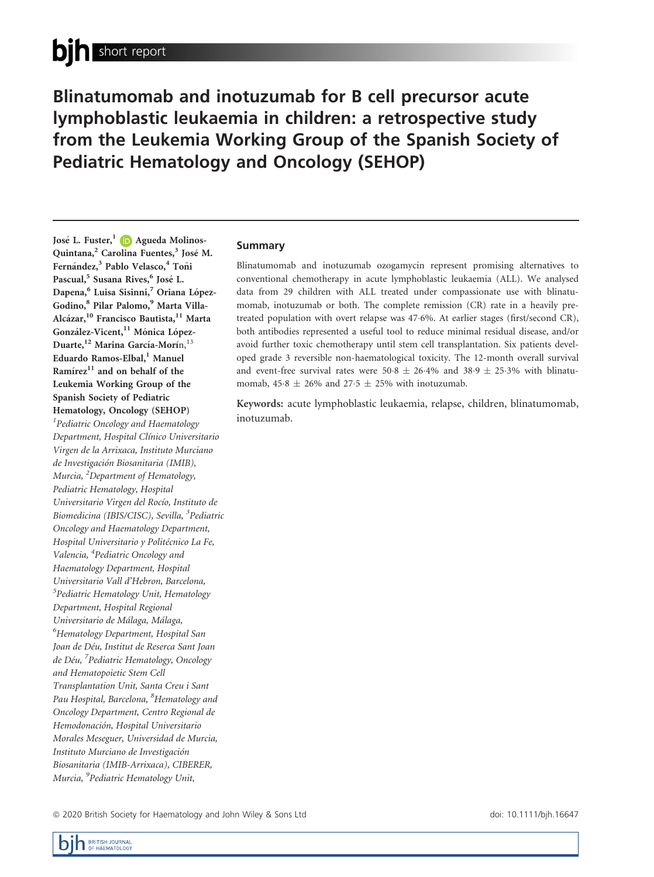# oin short report

Blinatumomab and inotuzumab for B cell precursor acute lymphoblastic leukaemia in children: a retrospective study from the Leukemia Working Group of the Spanish Society of Pediatric Hematology and Oncology (SEHOP)

José L. Fuster, $\frac{1}{2}$  **D** Agueda Molinos-Quintana,<sup>2</sup> Carolina Fuentes,<sup>3</sup> José M. Fernández,<sup>3</sup> Pablo Velasco,<sup>4</sup> Toñi Pascual,<sup>5</sup> Susana Rives,<sup>6</sup> José L. Dapena,<sup>6</sup> Luisa Sisinni,<sup>7</sup> Oriana López-Godino,<sup>8</sup> Pilar Palomo,<sup>9</sup> Marta Villa-Alcázar,<sup>10</sup> Francisco Bautista,<sup>11</sup> Marta González-Vicent,<sup>11</sup> Mónica López-Duarte,<sup>12</sup> Marina García-Morín,<sup>13</sup> Eduardo Ramos-Elbal, $<sup>1</sup>$  Manuel</sup> Ramirez $11$  and on behalf of the Leukemia Working Group of the Spanish Society of Pediatric Hematology, Oncology (SEHOP) <sup>1</sup> Pediatric Oncology and Haematology Department, Hospital Clínico Universitario Virgen de la Arrixaca, Instituto Murciano de Investigación Biosanitaria (IMIB), Murcia, <sup>2</sup>Department of Hematology, Pediatric Hematology, Hospital Universitario Virgen del Rocío, Instituto de Biomedicina (IBIS/CISC), Sevilla, <sup>3</sup>Pediatric Oncology and Haematology Department, Hospital Universitario y Politécnico La Fe, Valencia, <sup>4</sup>Pediatric Oncology and Haematology Department, Hospital Universitario Vall d'Hebron, Barcelona, <sup>5</sup>Pediatric Hematology Unit, Hematology Department, Hospital Regional Universitario de Malaga, Malaga, 6 Hematology Department, Hospital San Joan de Déu, Institut de Reserca Sant Joan de Déu, <sup>7</sup>Pediatric Hematology, Oncology and Hematopoietic Stem Cell Transplantation Unit, Santa Creu i Sant Pau Hospital, Barcelona, <sup>8</sup>Hematology and Oncology Department, Centro Regional de Hemodonación, Hospital Universitario Morales Meseguer, Universidad de Murcia, Instituto Murciano de Investigación Biosanitaria (IMIB-Arrixaca), CIBERER, Murcia, <sup>9</sup>Pediatric Hematology Unit,

### Summary

Blinatumomab and inotuzumab ozogamycin represent promising alternatives to conventional chemotherapy in acute lymphoblastic leukaemia (ALL). We analysed data from 29 children with ALL treated under compassionate use with blinatumomab, inotuzumab or both. The complete remission (CR) rate in a heavily pretreated population with overt relapse was 476%. At earlier stages (first/second CR), both antibodies represented a useful tool to reduce minimal residual disease, and/or avoid further toxic chemotherapy until stem cell transplantation. Six patients developed grade 3 reversible non-haematological toxicity. The 12-month overall survival and event-free survival rates were  $50.8 \pm 26.4\%$  and  $38.9 \pm 25.3\%$  with blinatumomab,  $45.8 + 26\%$  and  $27.5 + 25\%$  with inotuzumab.

Keywords: acute lymphoblastic leukaemia, relapse, children, blinatumomab, inotuzumab.

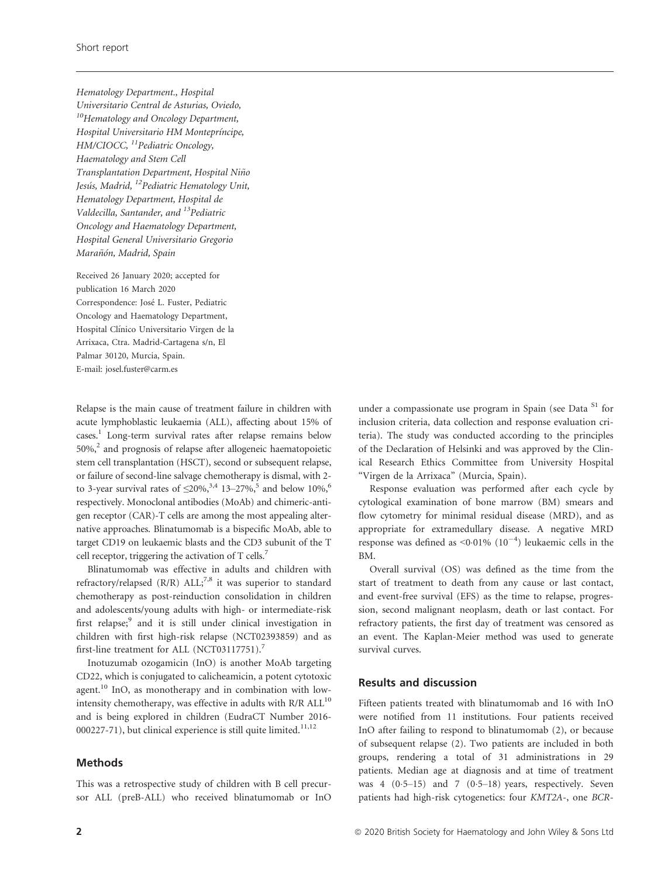Hematology Department., Hospital Universitario Central de Asturias, Oviedo,  $10$ Hematology and Oncology Department, Hospital Universitario HM Montepríncipe, HM/CIOCC, <sup>11</sup>Pediatric Oncology, Haematology and Stem Cell Transplantation Department, Hospital Nino~ Jesús, Madrid, <sup>12</sup> Pediatric Hematology Unit, Hematology Department, Hospital de Valdecilla, Santander, and <sup>13</sup>Pediatric Oncology and Haematology Department, Hospital General Universitario Gregorio Marañón, Madrid, Spain

Received 26 January 2020; accepted for publication 16 March 2020 Correspondence: Jose L. Fuster, Pediatric Oncology and Haematology Department, Hospital Clínico Universitario Virgen de la Arrixaca, Ctra. Madrid-Cartagena s/n, El Palmar 30120, Murcia, Spain. E-mail: [josel.fuster@carm.es](mailto:)

Relapse is the main cause of treatment failure in children with acute lymphoblastic leukaemia (ALL), affecting about 15% of cases.1 Long-term survival rates after relapse remains below  $50\%$ <sup>2</sup> and prognosis of relapse after allogeneic haematopoietic stem cell transplantation (HSCT), second or subsequent relapse, or failure of second-line salvage chemotherapy is dismal, with 2 to 3-year survival rates of  $\leq$ 20%,<sup>3,4</sup> 13–27%,<sup>5</sup> and below 10%,<sup>6</sup> respectively. Monoclonal antibodies (MoAb) and chimeric-antigen receptor (CAR)-T cells are among the most appealing alternative approaches. Blinatumomab is a bispecific MoAb, able to target CD19 on leukaemic blasts and the CD3 subunit of the T cell receptor, triggering the activation of T cells.<sup>7</sup>

Blinatumomab was effective in adults and children with refractory/relapsed  $(R/R)$  ALL;<sup>7,8</sup> it was superior to standard chemotherapy as post-reinduction consolidation in children and adolescents/young adults with high- or intermediate-risk first relapse;<sup>9</sup> and it is still under clinical investigation in children with first high-risk relapse (NCT02393859) and as first-line treatment for ALL (NCT03117751).<sup>7</sup>

Inotuzumab ozogamicin (InO) is another MoAb targeting CD22, which is conjugated to calicheamicin, a potent cytotoxic agent. $^{10}$  InO, as monotherapy and in combination with lowintensity chemotherapy, was effective in adults with  $R/R$   $ALL<sup>10</sup>$ and is being explored in children (EudraCT Number 2016- 000227-71), but clinical experience is still quite limited.<sup>11,12</sup>

# **Methods**

This was a retrospective study of children with B cell precursor ALL (preB-ALL) who received blinatumomab or InO under a compassionate use program in Spain (see Data <sup>S1</sup> for inclusion criteria, data collection and response evaluation criteria). The study was conducted according to the principles of the Declaration of Helsinki and was approved by the Clinical Research Ethics Committee from University Hospital "Virgen de la Arrixaca" (Murcia, Spain).

Response evaluation was performed after each cycle by cytological examination of bone marrow (BM) smears and flow cytometry for minimal residual disease (MRD), and as appropriate for extramedullary disease. A negative MRD response was defined as  $\leq 0.01\%$  ( $10^{-4}$ ) leukaemic cells in the BM.

Overall survival (OS) was defined as the time from the start of treatment to death from any cause or last contact, and event-free survival (EFS) as the time to relapse, progression, second malignant neoplasm, death or last contact. For refractory patients, the first day of treatment was censored as an event. The Kaplan-Meier method was used to generate survival curves.

# Results and discussion

Fifteen patients treated with blinatumomab and 16 with InO were notified from 11 institutions. Four patients received InO after failing to respond to blinatumomab (2), or because of subsequent relapse (2). Two patients are included in both groups, rendering a total of 31 administrations in 29 patients. Median age at diagnosis and at time of treatment was  $4$   $(0.5-15)$  and  $7$   $(0.5-18)$  years, respectively. Seven patients had high-risk cytogenetics: four KMT2A-, one BCR-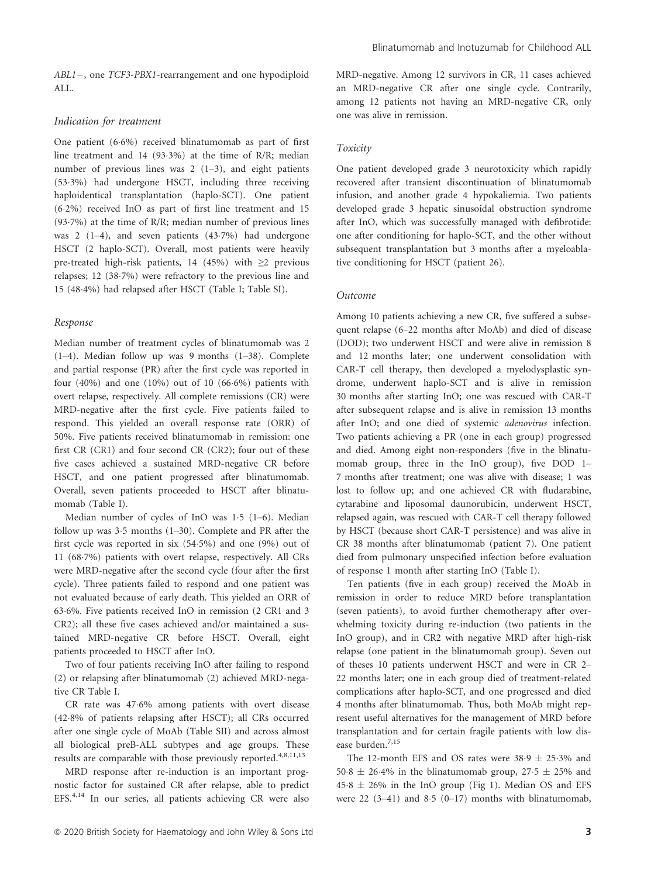$ABL1$ –, one  $TCF3-PBX1$ -rearrangement and one hypodiploid ALL.

#### Indication for treatment

One patient (66%) received blinatumomab as part of first line treatment and 14 (933%) at the time of R/R; median number of previous lines was 2 (1–3), and eight patients (533%) had undergone HSCT, including three receiving haploidentical transplantation (haplo-SCT). One patient (62%) received InO as part of first line treatment and 15 (937%) at the time of R/R; median number of previous lines was 2 (1–4), and seven patients (437%) had undergone HSCT (2 haplo-SCT). Overall, most patients were heavily pre-treated high-risk patients, 14 (45%) with ≥2 previous relapses; 12 (38.7%) were refractory to the previous line and 15 (484%) had relapsed after HSCT (Table I; Table SI).

### Response

Median number of treatment cycles of blinatumomab was 2 (1–4). Median follow up was 9 months (1–38). Complete and partial response (PR) after the first cycle was reported in four  $(40\%)$  and one  $(10\%)$  out of 10  $(66.6\%)$  patients with overt relapse, respectively. All complete remissions (CR) were MRD-negative after the first cycle. Five patients failed to respond. This yielded an overall response rate (ORR) of 50%. Five patients received blinatumomab in remission: one first CR (CR1) and four second CR (CR2); four out of these five cases achieved a sustained MRD-negative CR before HSCT, and one patient progressed after blinatumomab. Overall, seven patients proceeded to HSCT after blinatumomab (Table I).

Median number of cycles of InO was  $1.5$  (1-6). Median follow up was  $3.5$  months (1–30). Complete and PR after the first cycle was reported in six (545%) and one (9%) out of 11 (687%) patients with overt relapse, respectively. All CRs were MRD-negative after the second cycle (four after the first cycle). Three patients failed to respond and one patient was not evaluated because of early death. This yielded an ORR of 636%. Five patients received InO in remission (2 CR1 and 3 CR2); all these five cases achieved and/or maintained a sustained MRD-negative CR before HSCT. Overall, eight patients proceeded to HSCT after InO.

Two of four patients receiving InO after failing to respond (2) or relapsing after blinatumomab (2) achieved MRD-negative CR Table I.

CR rate was 476% among patients with overt disease (428% of patients relapsing after HSCT); all CRs occurred after one single cycle of MoAb (Table SII) and across almost all biological preB-ALL subtypes and age groups. These results are comparable with those previously reported.<sup>4,8,11,13</sup>

MRD response after re-induction is an important prognostic factor for sustained CR after relapse, able to predict EFS.4,14 In our series, all patients achieving CR were also MRD-negative. Among 12 survivors in CR, 11 cases achieved an MRD-negative CR after one single cycle. Contrarily, among 12 patients not having an MRD-negative CR, only one was alive in remission.

### Toxicity

One patient developed grade 3 neurotoxicity which rapidly recovered after transient discontinuation of blinatumomab infusion, and another grade 4 hypokaliemia. Two patients developed grade 3 hepatic sinusoidal obstruction syndrome after InO, which was successfully managed with defibrotide: one after conditioning for haplo-SCT, and the other without subsequent transplantation but 3 months after a myeloablative conditioning for HSCT (patient 26).

## Outcome

Among 10 patients achieving a new CR, five suffered a subsequent relapse (6–22 months after MoAb) and died of disease (DOD); two underwent HSCT and were alive in remission 8 and 12 months later; one underwent consolidation with CAR-T cell therapy, then developed a myelodysplastic syndrome, underwent haplo-SCT and is alive in remission 30 months after starting InO; one was rescued with CAR-T after subsequent relapse and is alive in remission 13 months after InO; and one died of systemic adenovirus infection. Two patients achieving a PR (one in each group) progressed and died. Among eight non-responders (five in the blinatumomab group, three in the InO group), five DOD 1– 7 months after treatment; one was alive with disease; 1 was lost to follow up; and one achieved CR with fludarabine, cytarabine and liposomal daunorubicin, underwent HSCT, relapsed again, was rescued with CAR-T cell therapy followed by HSCT (because short CAR-T persistence) and was alive in CR 38 months after blinatumomab (patient 7). One patient died from pulmonary unspecified infection before evaluation of response 1 month after starting InO (Table I).

Ten patients (five in each group) received the MoAb in remission in order to reduce MRD before transplantation (seven patients), to avoid further chemotherapy after overwhelming toxicity during re-induction (two patients in the InO group), and in CR2 with negative MRD after high-risk relapse (one patient in the blinatumomab group). Seven out of theses 10 patients underwent HSCT and were in CR 2– 22 months later; one in each group died of treatment-related complications after haplo-SCT, and one progressed and died 4 months after blinatumomab. Thus, both MoAb might represent useful alternatives for the management of MRD before transplantation and for certain fragile patients with low disease burden.<sup>7,15</sup>

The 12-month EFS and OS rates were  $38.9 \pm 25.3\%$  and  $50.8 \pm 26.4\%$  in the blinatumomab group,  $27.5 \pm 25\%$  and  $45.8 \pm 26\%$  in the InO group (Fig 1). Median OS and EFS were  $22(3-41)$  and  $8.5(0-17)$  months with blinatumomab,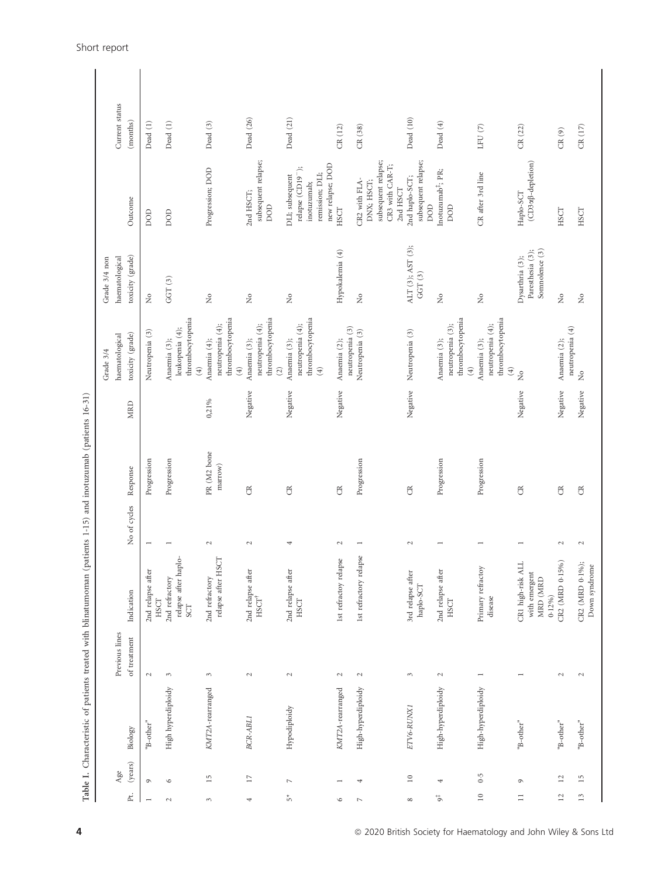|                 |                  | Table I. Characteristic of patients treated with blinatumoman |                          |                                                         |                          | (patients 1-15) and inotuzumab (patients 16-31) |            |                                                                              |                                                       |                                                                                                        |                   |
|-----------------|------------------|---------------------------------------------------------------|--------------------------|---------------------------------------------------------|--------------------------|-------------------------------------------------|------------|------------------------------------------------------------------------------|-------------------------------------------------------|--------------------------------------------------------------------------------------------------------|-------------------|
|                 |                  |                                                               |                          |                                                         |                          |                                                 |            | Grade 3/4                                                                    | Grade 3/4 non                                         |                                                                                                        |                   |
|                 | Age              |                                                               | Previous lines           |                                                         |                          |                                                 |            | haematological                                                               | haematological                                        |                                                                                                        | Current status    |
| È.              | (years)          | Biology                                                       | of treatment             | Indication                                              | No of cycles             | Response                                        | <b>MRD</b> | toxicity (grade)                                                             | toxicity (grade)                                      | Outcome                                                                                                | (months)          |
|                 | $\circ$          | "B-other"                                                     | $\sim$                   | 2nd relapse after<br>HSCT                               | $\overline{ }$           | Progression                                     |            | Neutropenia (3)                                                              | $\tilde{z}$                                           | DOD                                                                                                    | $\rm{Dead}$ $(1)$ |
| $\sim$          | $\circ$          | High hyperdiploidy                                            | 3                        | relapse after haplo-<br>2nd refractory<br><b>SCT</b>    |                          | Progression                                     |            | thrombocytopenia<br>leukopenia (4);<br>Anaemia (3);<br>$\widehat{f}$         | GGT $(3)$                                             | DOD                                                                                                    | Dead (1)          |
| 3               | 15               | KMT2A-rearranged                                              | 3                        | J<br>relapse after HS<br>2nd refractory                 | $\sim$                   | PR (M2 bone<br>marrow)                          | 0,21%      | thrombocytopenia<br>neutropenia (4);<br>Anaemia (4);<br>$\bigoplus$          | $\stackrel{\circ}{\phantom{}_{\sim}}$                 | Progression; DOD                                                                                       | Dead (3)          |
| 4               | $\Box$           | BCR-ABLI                                                      | $\sim$                   | 2nd relapse after<br>$HSCT^{\dagger}$                   | $\sim$                   | $\widetilde{\mathbb{C}}$                        | Negative   | thrombocytopenia<br>neutropenia (4);<br>Anaemia (3);<br>$\widehat{c}$        | $\stackrel{\circ}{\phantom{}_{\sim}}$                 | subsequent relapse;<br>2nd HSCT;<br>DOD                                                                | Dead (26)         |
| ň               | $\triangleright$ | Hypodiploidy                                                  | $\sim$                   | 2nd relapse after<br>HSCT                               | 4                        | $\widetilde{\mathbb{C}}$                        | Negative   | thrombocytopenia<br>neutropenia (4);<br>Anaemia (3);<br>$\widehat{f}$        | $\stackrel{\mathtt{o}}{\mathtt{z}}$                   | new relapse; DOD<br>relapse (CD19 <sup>-</sup> );<br>remission; DLI;<br>DLI; subsequent<br>inotuzumab; | Dead (21)         |
| $\circ$         |                  | KMT2A-rearranged                                              | $\sim$                   | 1st refractoy relapse                                   | $\sim$                   | $\widetilde{\mathbb{C}}$                        | Negative   | neutropenia (3)<br>Anaemia (2);                                              | Hypokalemia (4)                                       | HSCT                                                                                                   | CR(12)            |
| $\overline{ }$  | 4                | High-hyperdiploidy                                            | $\sim$                   | 1st refractory relapse                                  | $\overline{\phantom{0}}$ | Progression                                     |            | Neutropenia (3)                                                              | $\frac{1}{2}$                                         | subsequent relapse;<br>CR3 with CAR-T;<br>CR2 with FLA-<br>DNX; HSCT;<br>2nd HSCT                      | CR(38)            |
| ${}^{\circ}$    | $\equiv$         | ETV6-RUNXI                                                    | $\mathfrak{c}$           | 3rd relapse after<br>haplo-SCT                          | $\sim$                   | E                                               | Negative   | Neutropenia (3)                                                              | ALT (3); AST (3);<br>GGT $(3)$                        | subsequent relapse;<br>2nd haplo-SCT;<br>DOD                                                           | Dead (10)         |
| $\phi^+$        | 4                | High-hyperdiploidy                                            | $\sim$                   | 2nd relapse after<br>HSCT                               | $\overline{ }$           | Progression                                     |            | thrombocytopenia<br>neutropenia (3);<br>Anaemia (3);<br>$\left( \pm \right)$ | $\stackrel{\circ}{\phantom{}_{\sim}}$                 | Inotuzumab <sup>†</sup> ; PR;<br>DOD                                                                   | Dead (4)          |
| $\overline{10}$ | 0.5              | High-hyperdiploidy                                            | $\overline{\phantom{0}}$ | Primary refractoy<br>disease                            |                          | Progression                                     |            | thrombocytopenia<br>neutropenia (4);<br>Anaemia (3);<br>$\widehat{f}$        | $\stackrel{\circ}{\phantom{}_{\sim}}$                 | CR after 3rd line                                                                                      | LFU(7)            |
| $\equiv$        | $\mathfrak{S}$   | "B-other"                                                     |                          | CR1 high-risk ALL<br>with emergent<br>MRD (MRD<br>0.12% |                          | $\mathfrak{S}$                                  | Negative   | ż                                                                            | Somnolence (3)<br>Paresthesia (3);<br>Dysarthria (3); | $(CD3\alpha\beta$ -depletion)<br>Haplo-SCT                                                             | CR(22)            |
| $\overline{12}$ | $\overline{12}$  | "B-other"                                                     | $\sim$                   | CR2 (MRD 0-15%)                                         | $\sim$                   | $\widetilde{\mathbb{C}}$                        | Negative   | neutropenia $(4)$<br>Anaemia (2);                                            | $\tilde{z}$                                           | HSCT                                                                                                   | ${\rm CR}\ (9)$   |
| $\frac{3}{2}$   | $\overline{15}$  | "B-other"                                                     | $\sim$                   | CR2 (MRD 0-1%);<br>Down syndrome                        | $\sim$                   | $\widetilde{\mathbb{C}}$                        | Negative   | ż                                                                            | ż                                                     | HSCT                                                                                                   | $CR(17)$          |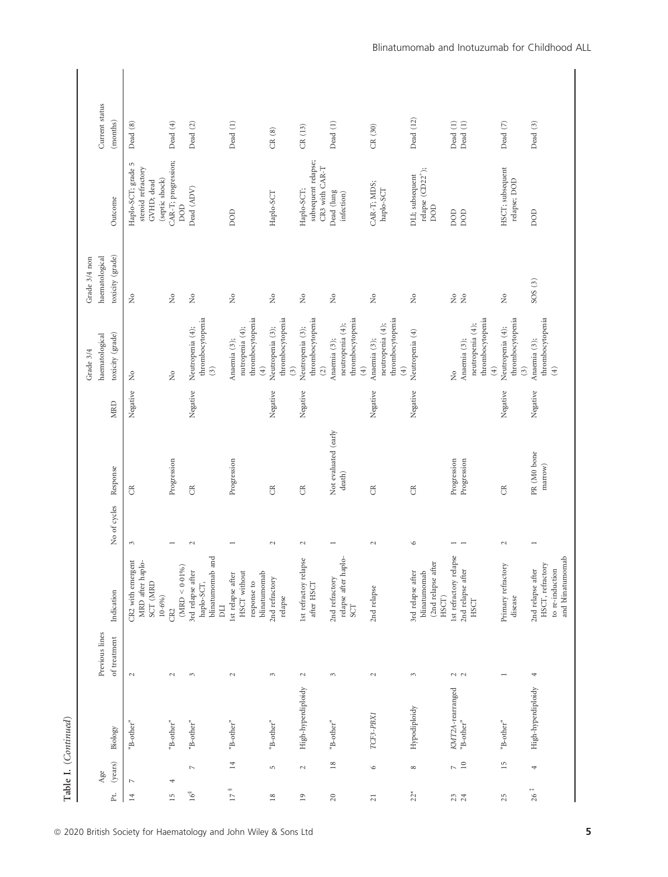|                                  |                          | Table I. (Continued) |                |                                                                                                                     |                |                                |            |                                                                          |                                       |                                                                          |                  |
|----------------------------------|--------------------------|----------------------|----------------|---------------------------------------------------------------------------------------------------------------------|----------------|--------------------------------|------------|--------------------------------------------------------------------------|---------------------------------------|--------------------------------------------------------------------------|------------------|
|                                  |                          |                      |                |                                                                                                                     |                |                                |            | Grade 3/4                                                                | Grade 3/4 non                         |                                                                          |                  |
| Age                              |                          |                      | Previous lines |                                                                                                                     |                |                                |            | haematological                                                           | haematological                        |                                                                          | Current status   |
| (years)<br>È.                    |                          | Biology              | of treatment   | Indication                                                                                                          | No of cycles   | Response                       | <b>MRD</b> | toxicity (grade)                                                         | toxicity (grade)                      | Outcome                                                                  | (months)         |
| $\overline{ }$<br>$\mathbb{I}^4$ |                          | "B-other"            | $\sim$         | ent<br>MRD after haplo-<br>CR2 with emerg<br>SCT (MRD<br>10.6%                                                      | 3              | Ő                              | Negative   | ż                                                                        | å                                     | Haplo-SCT; grade 5<br>steroid refractory<br>(septic shock)<br>GVHD; dead | Dead (8)         |
| 4<br>15                          |                          | "B-other"            | $\sim$         | $(\mbox{MRD} < 0.01\%)$<br>CR <sub>2</sub>                                                                          |                | Progression                    |            | $\stackrel{\circ}{\simeq}$                                               | $\stackrel{\circ}{\phantom{}_{\sim}}$ | CAR-T; progression;<br>DOD                                               | Dead $(4)$       |
| 16 <sup>8</sup>                  | $\overline{\phantom{a}}$ | "B-other"            | 3              | and<br>3rd relapse after<br>blinatumomab<br>haplo-SCT,<br>DЦ                                                        | $\sim$         | g                              | Negative   | thrombocytopenia<br>Neutropenia (4);<br>$\widehat{c}$                    | $\stackrel{\circ}{\mathbf{Z}}$        | Dead (ADV)                                                               | Dead (2)         |
| s<br>$\overline{17}$             | $\overline{14}$          | "B-other"            | $\sim$         | 1st relapse after<br>HSCT without<br>blinatumomab<br>response to                                                    | $\overline{ }$ | Progression                    |            | thrombocytopenia<br>nutropenia (4);<br>Anaemia (3);<br>$(\pm)$           | $\frac{1}{2}$                         | DOD                                                                      | Dead (1)         |
| $18\,$                           | S                        | "B-other"            | 3              | 2nd refractory<br>relapse                                                                                           | $\sim$         | g                              | Negative   | thrombocytopenia<br>Neutropenia (3);<br>$\left( 3\right)$                | $\stackrel{\circ}{\mathbf{Z}}$        | Haplo-SCT                                                                | ${\rm CR}$ $(8)$ |
| $^{9}$                           | $\sim$                   | High-hyperdiploidy   | $\sim$         | 1st refractoy relapse<br>after HSCT                                                                                 | $\sim$         | $\mathfrak S$                  | Negative   | thrombocytopenia<br>Neutropenia (3);<br>$\widehat{c}$                    | $\stackrel{\circ}{\simeq}$            | subsequent relapse;<br>CR3 with CAR-T<br>Haplo-SCT;                      | ${\rm CR}$ (13)  |
| $20\,$                           | $^{18}$                  | "B-other"            | 3              | relapse after haplo-<br>2nd refractory<br>SCT                                                                       |                | Not evaluated (early<br>death) |            | thrombocytopenia<br>neutropenia (4);<br>Anaemia (3);<br>$\widehat{f}$    | $\stackrel{\circ}{\mathbf{Z}}$        | Dead (lung<br>infection)                                                 | Dead (1)         |
| $\overline{21}$                  | $\circ$                  | TCF3-PBXI            | $\sim$         | 2nd relapse                                                                                                         | $\sim$         | g                              | Negative   | thrombocytopenia<br>neutropenia $(4)$ ;<br>Anaemia (3);<br>$\widehat{f}$ | $\tilde{z}$                           | CAR-T; MDS;<br>haplo-SCT                                                 | CR(30)           |
| $22*$                            | $\infty$                 | Hypodiploidy         | 3              | $\left( 2\mathrm{nd}% \left( \mathbf{M}\right) \right)$ relapse after<br>3rd relapse after<br>blinatumomab<br>HSCT) | $\circ$        | g                              | Negative   | Neutropenia (4)                                                          | $\stackrel{\circ}{\phantom{}_{\sim}}$ | relapse (CD22 <sup>+</sup> );<br>DLI; subsequent<br>DOD                  | Dead (12)        |
| 23                               | $\overline{\phantom{0}}$ | KMT2A-rearranged     |                | 1st refractory relapse                                                                                              |                | Progression                    |            | ż                                                                        | $\stackrel{\circ}{\phantom{}_{\sim}}$ | DOD                                                                      | Dead (1)         |
|                                  | $10\,$                   | "B-other"            | $\sim$ $\sim$  | 2nd relapse after<br>HSCT                                                                                           |                | Progression                    |            | thrombocytopenia<br>neutropenia (4);<br>Anaemia (3);<br>$\tag{4}$        | $\stackrel{\circ}{\simeq}$            | DOD                                                                      | Dead (1)         |
| 25                               | $\overline{15}$          | "B-other"            |                | Primary refractory<br>disease                                                                                       | $\sim$         | g                              | Negative   | thrombocytopenia<br>Neutropenia (4);<br>$\tag{3}$                        | $\stackrel{\circ}{\mathbf{Z}}$        | HSCT; subsequent<br>relapse; DOD                                         | Dead (7)         |
| $26$ <sup>#</sup>                | 4                        | High-hyperdiploidy   | 4              | and blinatumomab<br>HSCT, refractory<br>to re-induction<br>2nd relapse after                                        |                | PR (M0 bone<br>marrow)         | Negative   | thrombocytopenia<br>Anaemia (3);<br>$\tag{4}$                            | SOS (3)                               | DOD                                                                      | Dead (3)         |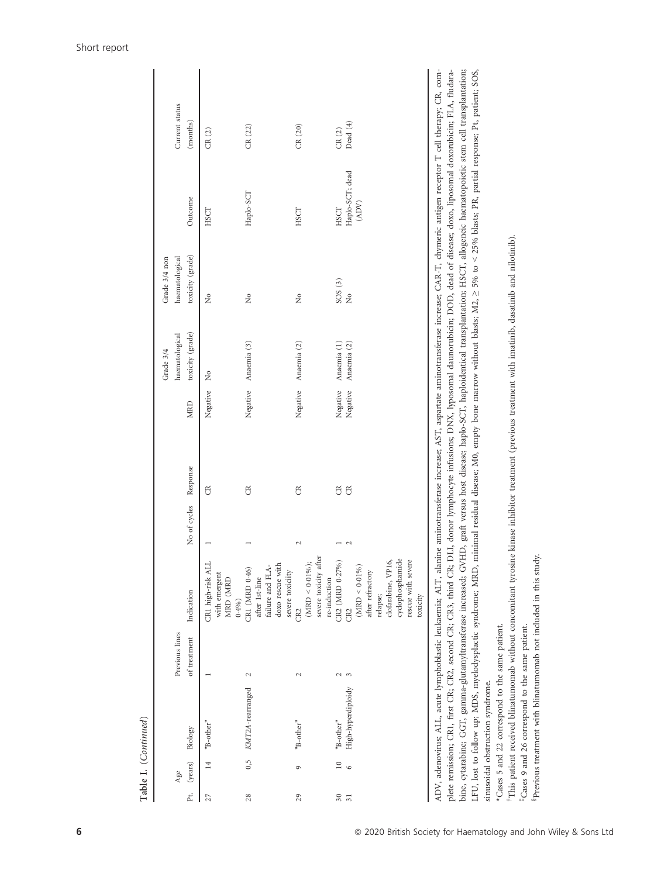|                              |                      | Table I. (Continued)            |                                |                                                                                                                                                                   |              |                                                      |                      |                                                 |                                                     |                                  |                                                                                                                                                                                                                                                                                                                                                                                                                                                                                                                                                                                                                                                                                                                                                                                                          |
|------------------------------|----------------------|---------------------------------|--------------------------------|-------------------------------------------------------------------------------------------------------------------------------------------------------------------|--------------|------------------------------------------------------|----------------------|-------------------------------------------------|-----------------------------------------------------|----------------------------------|----------------------------------------------------------------------------------------------------------------------------------------------------------------------------------------------------------------------------------------------------------------------------------------------------------------------------------------------------------------------------------------------------------------------------------------------------------------------------------------------------------------------------------------------------------------------------------------------------------------------------------------------------------------------------------------------------------------------------------------------------------------------------------------------------------|
| Pt.                          | (years)<br>Age       | Biology                         | Previous lines<br>of treatment | Indication                                                                                                                                                        | No of cycles | Response                                             | <b>MRD</b>           | toxicity (grade)<br>haematological<br>Grade 3/4 | toxicity (grade)<br>Grade 3/4 non<br>haematological | Outcome                          | Current status<br>(months)                                                                                                                                                                                                                                                                                                                                                                                                                                                                                                                                                                                                                                                                                                                                                                               |
| 27                           | $\overline{14}$      | "B-other"                       |                                | CR1 high-risk ALL<br>with emergent<br><b>GRIV)</b> GRIV<br>0.4%                                                                                                   |              | $\widetilde{\mathbb{C}}$                             | Negative             | ż                                               | $\frac{1}{2}$                                       | HSCT                             | ${\rm CR}~(2)$                                                                                                                                                                                                                                                                                                                                                                                                                                                                                                                                                                                                                                                                                                                                                                                           |
| 28                           | 0,5                  | KMT2A-rearranged                | 2                              | failure and ${\rm FLA-}$ do<br>xo rescue with<br>CR1 (MRD 0-46)<br>severe toxiciity<br>after 1st-line                                                             |              | $\widetilde{\mathbb{C}}$                             |                      | Negative Anaemia (3)                            | $\frac{1}{2}$                                       | Haplo-SCT                        | CR (22)                                                                                                                                                                                                                                                                                                                                                                                                                                                                                                                                                                                                                                                                                                                                                                                                  |
| 29                           | G                    | "B-other"                       | $\sim$                         | severe toxicity after<br>(MRD $<$ 0-01%);<br>re-induction<br>CR <sub>2</sub>                                                                                      | $\sim$       | ã                                                    | Negative             | Anaemia (2)                                     | $\frac{1}{2}$                                       | HSCT                             | CR (20)                                                                                                                                                                                                                                                                                                                                                                                                                                                                                                                                                                                                                                                                                                                                                                                                  |
| $\approx$<br>$\overline{31}$ | $\approx$<br>$\circ$ | High-hyperdiploidy<br>"B-other" | $\sim$<br>3                    | cyclophosphamide<br>clofarabine, VP16,<br>rescue with severe<br>CR2 (MRD 0.27%)<br>$(MRD < 0.01\%$<br>after refractory<br>relapse;<br>toxicity<br>CR <sub>2</sub> |              | $\widetilde{\mathbb{C}}$<br>$\widetilde{\mathbb{C}}$ | Negative<br>Negative | Anaemia (1)<br>Anaemia (2)                      | SOS (3)<br>$\frac{1}{2}$                            | Haplo-SCT; dead<br>(ADV)<br>HSCT | Dead (4)<br>${\rm CR}\,(2)$                                                                                                                                                                                                                                                                                                                                                                                                                                                                                                                                                                                                                                                                                                                                                                              |
|                              |                      |                                 |                                |                                                                                                                                                                   |              |                                                      |                      |                                                 |                                                     |                                  | ADV, adenovirus, ALL, acute lymphoblastic leukaemia; ALT, alanine aminotransferase increase; AST, aspartate aminotransferase increase; CAR-T, chymeric antigen receptor T cell therapy; CR, com-<br>bine, cytarabine; GGT, gamma-glutamyltransferase increased; GVHD, graft versus host disease; haplo-SCT, haploidentical transplantation; HSCT, allogeneic haematopoietic stem cell transplantation;<br>plete remission; CR1, first CR; CR2, second CR; CR3, third CR; DL1, donor lymphocyte infusions; DNX, lyposomal daunorubicin; DOD, dead of disease; doxo, liposomal doxorubicin; FLA, fludara-<br>LFU, lost to follow up; MDS, myelodysplactic syndrome; MRD, minimal residual disease; M0, empty bone marrow without blasts; M2, ≥ 5% to < 25% blasts; PR, partial response; Pt, patient; SOS, |

sinusoidal obstruction syndrome. sinusoidal obstruction syndrome.

\*Cases 5 and 22 correspond to the same patient. \*Cases 5 and 22 correspond to the same patient.

<sup>+</sup>This patient received blinatumomab without concomitant tyrosine kinase inhibitor treatment (previous treatment with imatinib, dasatinib and nilotinib). †This patient received blinatumomab without concomitant tyrosine kinase inhibitor treatment (previous treatment with imatinib, dasatinib and nilotinib). ‡Cases 9 and 26 correspond to the same patient.

 $^4 \text{Case } 9$  and 26 correspond to the same patient.  $^8 \text{Previous treatment with biinatumonab not included in this study.}$ §Previous treatment with blinatumomab not included in this study.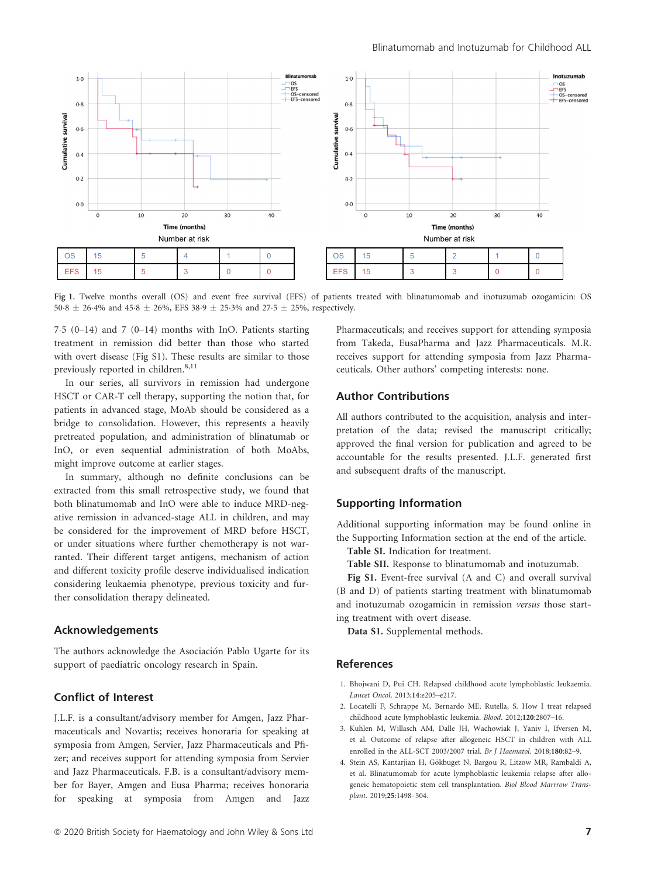

Fig 1. Twelve months overall (OS) and event free survival (EFS) of patients treated with blinatumomab and inotuzumab ozogamicin: OS 50 $\cdot$ 8  $\pm$  26 $\cdot$ 4% and 45 $\cdot$ 8  $\pm$  26%, EFS 38 $\cdot$ 9  $\pm$  25 $\cdot$ 3% and 27 $\cdot$ 5  $\pm$  25%, respectively.

 $7.5$   $(0-14)$  and  $7$   $(0-14)$  months with InO. Patients starting treatment in remission did better than those who started with overt disease (Fig S1). These results are similar to those previously reported in children.<sup>8,11</sup>

In our series, all survivors in remission had undergone HSCT or CAR-T cell therapy, supporting the notion that, for patients in advanced stage, MoAb should be considered as a bridge to consolidation. However, this represents a heavily pretreated population, and administration of blinatumab or InO, or even sequential administration of both MoAbs, might improve outcome at earlier stages.

In summary, although no definite conclusions can be extracted from this small retrospective study, we found that both blinatumomab and InO were able to induce MRD-negative remission in advanced-stage ALL in children, and may be considered for the improvement of MRD before HSCT, or under situations where further chemotherapy is not warranted. Their different target antigens, mechanism of action and different toxicity profile deserve individualised indication considering leukaemia phenotype, previous toxicity and further consolidation therapy delineated.

## Acknowledgements

The authors acknowledge the Asociación Pablo Ugarte for its support of paediatric oncology research in Spain.

# Conflict of Interest

J.L.F. is a consultant/advisory member for Amgen, Jazz Pharmaceuticals and Novartis; receives honoraria for speaking at symposia from Amgen, Servier, Jazz Pharmaceuticals and Pfizer; and receives support for attending symposia from Servier and Jazz Pharmaceuticals. F.B. is a consultant/advisory member for Bayer, Amgen and Eusa Pharma; receives honoraria for speaking at symposia from Amgen and Jazz Pharmaceuticals; and receives support for attending symposia from Takeda, EusaPharma and Jazz Pharmaceuticals. M.R. receives support for attending symposia from Jazz Pharmaceuticals. Other authors' competing interests: none.

# Author Contributions

All authors contributed to the acquisition, analysis and interpretation of the data; revised the manuscript critically; approved the final version for publication and agreed to be accountable for the results presented. J.L.F. generated first and subsequent drafts of the manuscript.

# Supporting Information

Additional supporting information may be found online in the Supporting Information section at the end of the article.

Table SI. Indication for treatment.

Table SII. Response to blinatumomab and inotuzumab.

Fig S1. Event-free survival (A and C) and overall survival (B and D) of patients starting treatment with blinatumomab and inotuzumab ozogamicin in remission versus those starting treatment with overt disease.

Data S1. Supplemental methods.

## References

- 1. Bhojwani D, Pui CH. Relapsed childhood acute lymphoblastic leukaemia. Lancet Oncol. 2013;14:e205–e217.
- 2. Locatelli F, Schrappe M, Bernardo ME, Rutella, S. How I treat relapsed childhood acute lymphoblastic leukemia. Blood. 2012;120:2807–16.
- 3. Kuhlen M, Willasch AM, Dalle JH, Wachowiak J, Yaniv I, Ifversen M, et al. Outcome of relapse after allogeneic HSCT in children with ALL enrolled in the ALL-SCT 2003/2007 trial. Br J Haematol. 2018;180:82–9.
- 4. Stein AS, Kantarjian H, Gökbuget N, Bargou R, Litzow MR, Rambaldi A, et al. Blinatumomab for acute lymphoblastic leukemia relapse after allogeneic hematopoietic stem cell transplantation. Biol Blood Marrrow Transplant. 2019;25:1498–504.